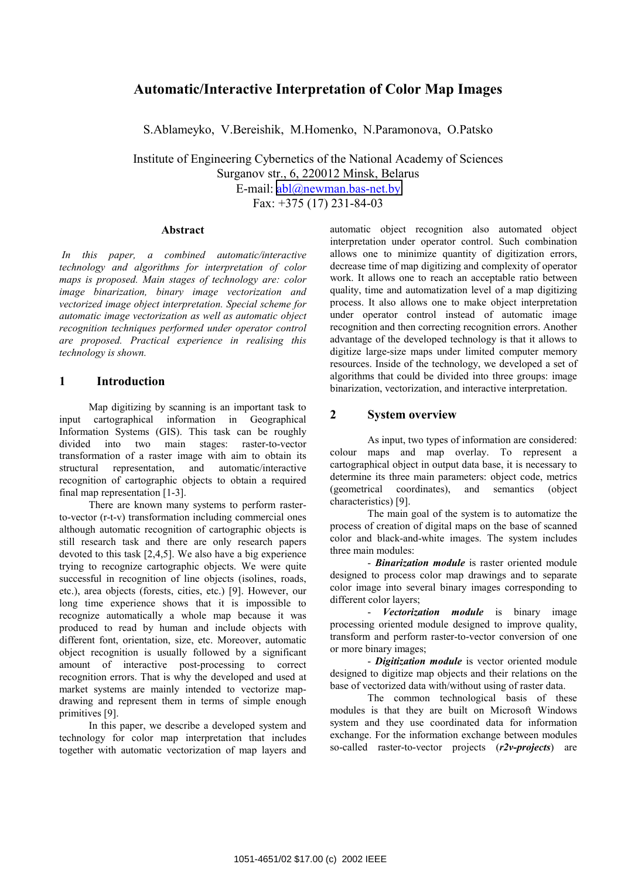# **Automatic/Interactive Interpretation of Color Map Images**

S.Ablameyko, V.Bereishik, M.Homenko, N.Paramonova, O.Patsko

Institute of Engineering Cybernetics of the National Academy of Sciences Surganov str., 6, 220012 Minsk, Belarus E-mail: [abl@newman.bas-net.by](mailto:abl@newman.bas-net.by) Fax: +375 (17) 231-84-03

#### **Abstract**

 *In this paper, a combined automatic/interactive technology and algorithms for interpretation of color maps is proposed. Main stages of technology are: color image binarization, binary image vectorization and vectorized image object interpretation. Special scheme for automatic image vectorization as well as automatic object recognition techniques performed under operator control are proposed. Practical experience in realising this technology is shown.*

#### **1 Introduction**

Map digitizing by scanning is an important task to input cartographical information in Geographical Information Systems (GIS). This task can be roughly divided into two main stages: raster-to-vector transformation of a raster image with aim to obtain its structural representation, and automatic/interactive recognition of cartographic objects to obtain a required final map representation [1-3].

There are known many systems to perform rasterto-vector (r-t-v) transformation including commercial ones although automatic recognition of cartographic objects is still research task and there are only research papers devoted to this task [2,4,5]. We also have a big experience trying to recognize cartographic objects. We were quite successful in recognition of line objects (isolines, roads, etc.), area objects (forests, cities, etc.) [9]. However, our long time experience shows that it is impossible to recognize automatically a whole map because it was produced to read by human and include objects with different font, orientation, size, etc. Moreover, automatic object recognition is usually followed by a significant amount of interactive post-processing to correct recognition errors. That is why the developed and used at market systems are mainly intended to vectorize mapdrawing and represent them in terms of simple enough primitives [9].

In this paper, we describe a developed system and technology for color map interpretation that includes together with automatic vectorization of map layers and automatic object recognition also automated object interpretation under operator control. Such combination allows one to minimize quantity of digitization errors, decrease time of map digitizing and complexity of operator work. It allows one to reach an acceptable ratio between quality, time and automatization level of a map digitizing process. It also allows one to make object interpretation under operator control instead of automatic image recognition and then correcting recognition errors. Another advantage of the developed technology is that it allows to digitize large-size maps under limited computer memory resources. Inside of the technology, we developed a set of algorithms that could be divided into three groups: image binarization, vectorization, and interactive interpretation.

#### **2 System overview**

As input, two types of information are considered: colour maps and map overlay. To represent a cartographical object in output data base, it is necessary to determine its three main parameters: object code, metrics (geometrical coordinates), and semantics (object characteristics) [9].

The main goal of the system is to automatize the process of creation of digital maps on the base of scanned color and black-and-white images. The system includes three main modules:

- *Binarization module* is raster oriented module designed to process color map drawings and to separate color image into several binary images corresponding to different color layers;

- *Vectorization module* is binary image processing oriented module designed to improve quality, transform and perform raster-to-vector conversion of one or more binary images;

- *Digitization module* is vector oriented module designed to digitize map objects and their relations on the base of vectorized data with/without using of raster data.

The common technological basis of these modules is that they are built on Microsoft Windows system and they use coordinated data for information exchange. For the information exchange between modules so-called raster-to-vector projects (*r2v-projects*) are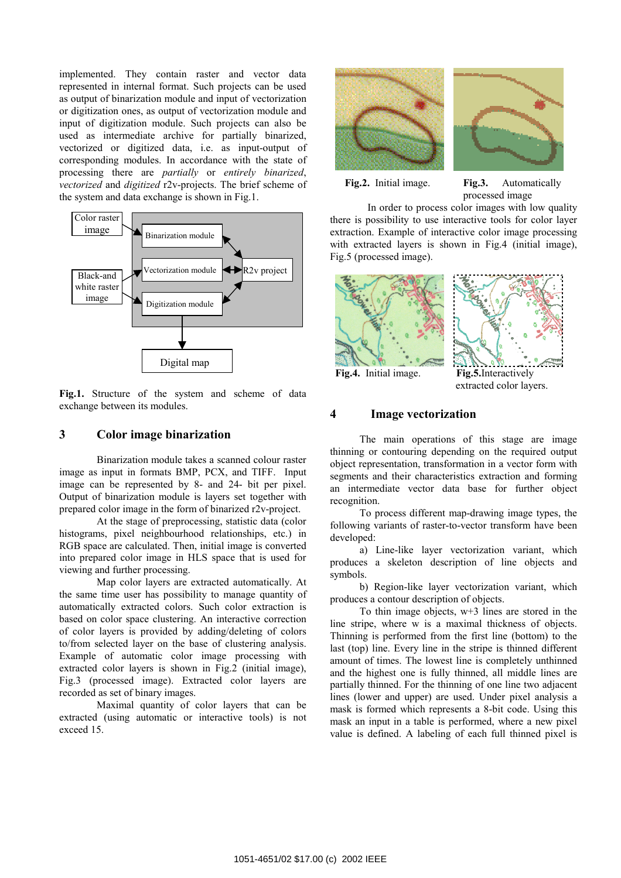implemented. They contain raster and vector data represented in internal format. Such projects can be used as output of binarization module and input of vectorization or digitization ones, as output of vectorization module and input of digitization module. Such projects can also be used as intermediate archive for partially binarized, vectorized or digitized data, i.e. as input-output of corresponding modules. In accordance with the state of processing there are *partially* or *entirely binarized*, *vectorized* and *digitized* r2v-projects. The brief scheme of the system and data exchange is shown in Fig.1.



**Fig.1.** Structure of the system and scheme of data exchange between its modules.

### **3 Color image binarization**

Binarization module takes a scanned colour raster image as input in formats BMP, PCX, and TIFF. Input image can be represented by 8- and 24- bit per pixel. Output of binarization module is layers set together with prepared color image in the form of binarized r2v-project.

At the stage of preprocessing, statistic data (color histograms, pixel neighbourhood relationships, etc.) in RGB space are calculated. Then, initial image is converted into prepared color image in HLS space that is used for viewing and further processing.

Map color layers are extracted automatically. At the same time user has possibility to manage quantity of automatically extracted colors. Such color extraction is based on color space clustering. An interactive correction of color layers is provided by adding/deleting of colors to/from selected layer on the base of clustering analysis. Example of automatic color image processing with extracted color layers is shown in Fig.2 (initial image), Fig.3 (processed image). Extracted color layers are recorded as set of binary images.

Maximal quantity of color layers that can be extracted (using automatic or interactive tools) is not exceed 15.





**Fig.2.** Initial image. **Fig.3.** Automatically processed image

In order to process color images with low quality there is possibility to use interactive tools for color layer extraction. Example of interactive color image processing with extracted layers is shown in Fig.4 (initial image), Fig.5 (processed image).





 **Fig.4.** Initial image. **Fig.5.**Interactively extracted color layers.

### **4 Image vectorization**

The main operations of this stage are image thinning or contouring depending on the required output object representation, transformation in a vector form with segments and their characteristics extraction and forming an intermediate vector data base for further object recognition.

To process different map-drawing image types, the following variants of raster-to-vector transform have been developed:

a) Line-like layer vectorization variant, which produces a skeleton description of line objects and symbols.

b) Region-like layer vectorization variant, which produces a contour description of objects.

To thin image objects, w+3 lines are stored in the line stripe, where w is a maximal thickness of objects. Thinning is performed from the first line (bottom) to the last (top) line. Every line in the stripe is thinned different amount of times. The lowest line is completely unthinned and the highest one is fully thinned, all middle lines are partially thinned. For the thinning of one line two adjacent lines (lower and upper) are used. Under pixel analysis a mask is formed which represents a 8-bit code. Using this mask an input in a table is performed, where a new pixel value is defined. A labeling of each full thinned pixel is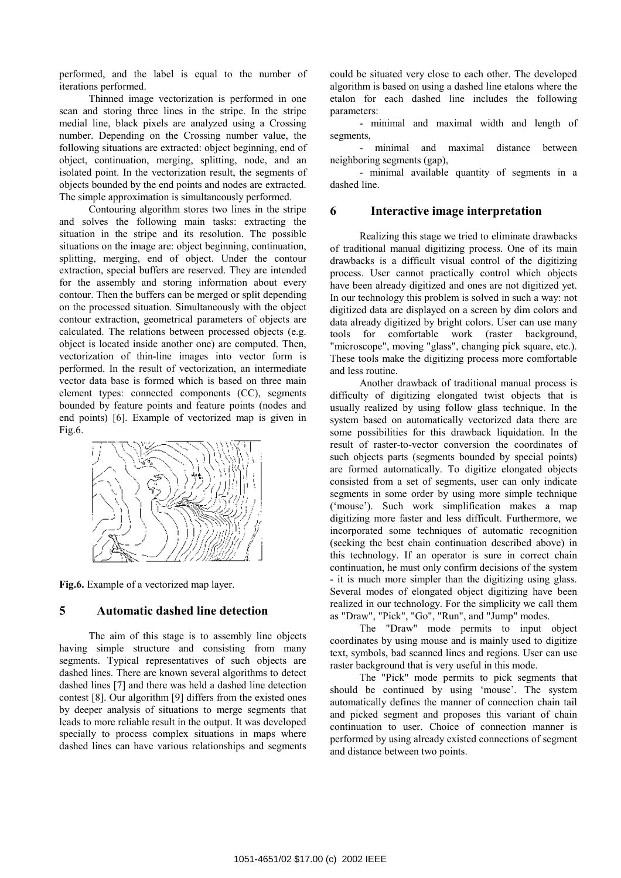performed, and the label is equal to the number of iterations performed.

Thinned image vectorization is performed in one scan and storing three lines in the stripe. In the stripe medial line, black pixels are analyzed using a Crossing number. Depending on the Crossing number value, the following situations are extracted: object beginning, end of object, continuation, merging, splitting, node, and an isolated point. In the vectorization result, the segments of objects bounded by the end points and nodes are extracted. The simple approximation is simultaneously performed.

Contouring algorithm stores two lines in the stripe and solves the following main tasks: extracting the situation in the stripe and its resolution. The possible situations on the image are: object beginning, continuation, splitting, merging, end of object. Under the contour extraction, special buffers are reserved. They are intended for the assembly and storing information about every contour. Then the buffers can be merged or split depending on the processed situation. Simultaneously with the object contour extraction, geometrical parameters of objects are calculated. The relations between processed objects (e.g. object is located inside another one) are computed. Then, vectorization of thin-line images into vector form is performed. In the result of vectorization, an intermediate vector data base is formed which is based on three main element types: connected components (CC), segments bounded by feature points and feature points (nodes and end points) [6]. Example of vectorized map is given in Fig.6.



**Fig.6.** Example of a vectorized map layer.

### **5 Automatic dashed line detection**

The aim of this stage is to assembly line objects having simple structure and consisting from many segments. Typical representatives of such objects are dashed lines. There are known several algorithms to detect dashed lines [7] and there was held a dashed line detection contest [8]. Our algorithm [9] differs from the existed ones by deeper analysis of situations to merge segments that leads to more reliable result in the output. It was developed specially to process complex situations in maps where dashed lines can have various relationships and segments

could be situated very close to each other. The developed algorithm is based on using a dashed line etalons where the etalon for each dashed line includes the following parameters:

- minimal and maximal width and length of segments,

minimal and maximal distance between neighboring segments (gap),

- minimal available quantity of segments in a dashed line.

### **6 Interactive image interpretation**

Realizing this stage we tried to eliminate drawbacks of traditional manual digitizing process. One of its main drawbacks is a difficult visual control of the digitizing process. User cannot practically control which objects have been already digitized and ones are not digitized yet. In our technology this problem is solved in such a way: not digitized data are displayed on a screen by dim colors and data already digitized by bright colors. User can use many tools for comfortable work (raster background, "microscope", moving "glass", changing pick square, etc.). These tools make the digitizing process more comfortable and less routine.

Another drawback of traditional manual process is difficulty of digitizing elongated twist objects that is usually realized by using follow glass technique. In the system based on automatically vectorized data there are some possibilities for this drawback liquidation. In the result of raster-to-vector conversion the coordinates of such objects parts (segments bounded by special points) are formed automatically. To digitize elongated objects consisted from a set of segments, user can only indicate segments in some order by using more simple technique ('mouse'). Such work simplification makes a map digitizing more faster and less difficult. Furthermore, we incorporated some techniques of automatic recognition (seeking the best chain continuation described above) in this technology. If an operator is sure in correct chain continuation, he must only confirm decisions of the system - it is much more simpler than the digitizing using glass. Several modes of elongated object digitizing have been realized in our technology. For the simplicity we call them as "Draw", "Pick", "Go", "Run", and "Jump" modes.

The "Draw" mode permits to input object coordinates by using mouse and is mainly used to digitize text, symbols, bad scanned lines and regions. User can use raster background that is very useful in this mode.

The "Pick" mode permits to pick segments that should be continued by using 'mouse'. The system automatically defines the manner of connection chain tail and picked segment and proposes this variant of chain continuation to user. Choice of connection manner is performed by using already existed connections of segment and distance between two points.